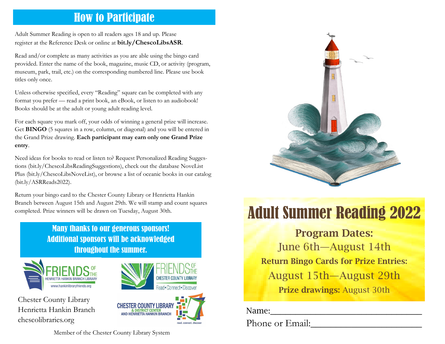## How to Participate

Adult Summer Reading is open to all readers ages 18 and up. Please register at the Reference Desk or online at **bit.ly/ChescoLibsASR**.

Read and/or complete as many activities as you are able using the bingo card provided. Enter the name of the book, magazine, music CD, or activity (program, museum, park, trail, etc.) on the corresponding numbered line. Please use book titles only once.

Unless otherwise specified, every "Reading" square can be completed with any format you prefer — read a print book, an eBook, or listen to an audiobook! Books should be at the adult or young adult reading level.

For each square you mark off, your odds of winning a general prize will increase. Get **BINGO** (5 squares in a row, column, or diagonal) and you will be entered in the Grand Prize drawing. **Each participant may earn only one Grand Prize entry**.

Need ideas for books to read or listen to? Request Personalized Reading Suggestions (bit.ly/ChescoLibsReadingSuggestions), check out the database NoveList Plus (bit.ly/ChescoLibsNoveList), or browse a list of oceanic books in our catalog (bit.ly/ASRReads2022).

Return your bingo card to the Chester County Library or Henrietta Hankin Branch between August 15th and August 29th. We will stamp and count squares

### Many thanks to our generous sponsors! Additional sponsors will be acknowledged throughout the summer.



Chester County Library Henrietta Hankin Branch chescolibraries.org



read, connect, discr



# completed. Prize winners will be drawn on Tuesday, August 30th. **Adult Summer Reading 2022**

Program Dates: June 6th—August 14th Return Bingo Cards for Prize Entries: August 15th—August 29th Prize drawings: August 30th

Name:\_\_\_\_\_\_\_\_\_\_\_\_\_\_\_\_\_\_\_\_\_\_\_\_\_\_\_\_\_\_

Phone or Email:

Member of the Chester County Library System